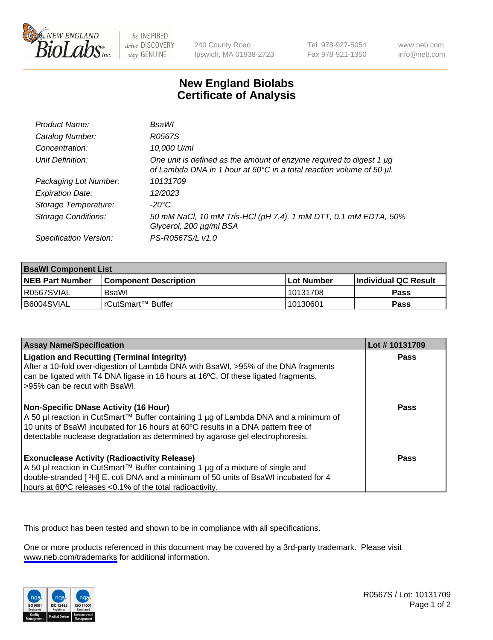

be INSPIRED drive DISCOVERY stay GENUINE

240 County Road Ipswich, MA 01938-2723 Tel 978-927-5054 Fax 978-921-1350

www.neb.com info@neb.com

## **New England Biolabs Certificate of Analysis**

| Product Name:              | <b>BsaWI</b>                                                                                                                                |
|----------------------------|---------------------------------------------------------------------------------------------------------------------------------------------|
| Catalog Number:            | R0567S                                                                                                                                      |
| Concentration:             | 10,000 U/ml                                                                                                                                 |
| Unit Definition:           | One unit is defined as the amount of enzyme required to digest 1 µg<br>of Lambda DNA in 1 hour at 60°C in a total reaction volume of 50 µl. |
| Packaging Lot Number:      | 10131709                                                                                                                                    |
| <b>Expiration Date:</b>    | 12/2023                                                                                                                                     |
| Storage Temperature:       | -20°C                                                                                                                                       |
| <b>Storage Conditions:</b> | 50 mM NaCl, 10 mM Tris-HCl (pH 7.4), 1 mM DTT, 0.1 mM EDTA, 50%<br>Glycerol, 200 µg/ml BSA                                                  |
| Specification Version:     | PS-R0567S/L v1.0                                                                                                                            |

| <b>BsaWI Component List</b> |                         |              |                             |  |
|-----------------------------|-------------------------|--------------|-----------------------------|--|
| <b>NEB Part Number</b>      | l Component Description | l Lot Number | <b>Individual QC Result</b> |  |
| R0567SVIAL                  | BsaWl                   | 10131708     | Pass                        |  |
| B6004SVIAL                  | I rCutSmart™ Buffer_    | 10130601     | Pass                        |  |

| <b>Assay Name/Specification</b>                                                                                                                                                                                                                                                                           | Lot #10131709 |
|-----------------------------------------------------------------------------------------------------------------------------------------------------------------------------------------------------------------------------------------------------------------------------------------------------------|---------------|
| <b>Ligation and Recutting (Terminal Integrity)</b><br>After a 10-fold over-digestion of Lambda DNA with BsaWI, >95% of the DNA fragments<br>can be ligated with T4 DNA ligase in 16 hours at 16 <sup>o</sup> C. Of these ligated fragments,<br>-95% can be recut with BsaWI.                              | Pass          |
| <b>Non-Specific DNase Activity (16 Hour)</b><br>A 50 µl reaction in CutSmart™ Buffer containing 1 µg of Lambda DNA and a minimum of<br>10 units of BsaWI incubated for 16 hours at 60°C results in a DNA pattern free of<br>detectable nuclease degradation as determined by agarose gel electrophoresis. | Pass          |
| <b>Exonuclease Activity (Radioactivity Release)</b><br>A 50 µl reaction in CutSmart™ Buffer containing 1 µg of a mixture of single and<br>double-stranded [3H] E. coli DNA and a minimum of 50 units of BsaWI incubated for 4<br>hours at 60°C releases <0.1% of the total radioactivity.                 | Pass          |

This product has been tested and shown to be in compliance with all specifications.

One or more products referenced in this document may be covered by a 3rd-party trademark. Please visit <www.neb.com/trademarks>for additional information.